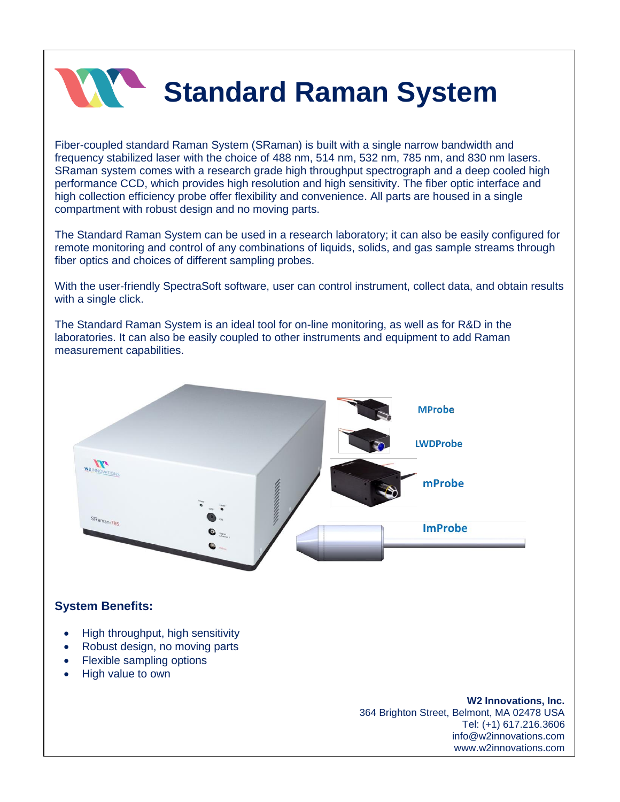

## **Standard Raman System**

Fiber-coupled standard Raman System (SRaman) is built with a single narrow bandwidth and frequency stabilized laser with the choice of 488 nm, 514 nm, 532 nm, 785 nm, and 830 nm lasers. SRaman system comes with a research grade high throughput spectrograph and a deep cooled high performance CCD, which provides high resolution and high sensitivity. The fiber optic interface and high collection efficiency probe offer flexibility and convenience. All parts are housed in a single compartment with robust design and no moving parts.

The Standard Raman System can be used in a research laboratory; it can also be easily configured for remote monitoring and control of any combinations of liquids, solids, and gas sample streams through fiber optics and choices of different sampling probes.

With the user-friendly SpectraSoft software, user can control instrument, collect data, and obtain results with a single click.

The Standard Raman System is an ideal tool for on-line monitoring, as well as for R&D in the laboratories. It can also be easily coupled to other instruments and equipment to add Raman measurement capabilities.



## **System Benefits:**

- High throughput, high sensitivity
- Robust design, no moving parts
- Flexible sampling options
- High value to own

**W2 Innovations, Inc.** 364 Brighton Street, Belmont, MA 02478 USA Tel: (+1) 617.216.3606 info@w2innovations.com www.w2innovations.com